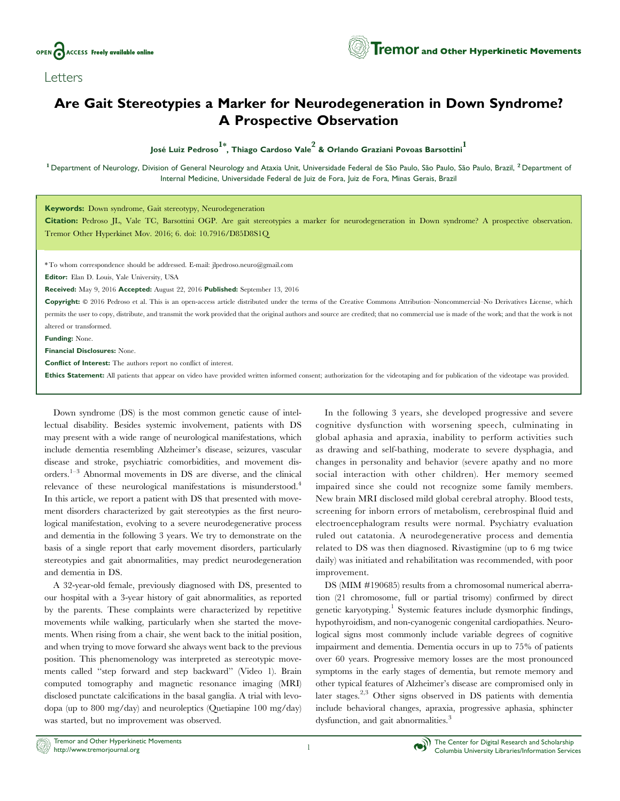

Letters

## Are Gait Stereotypies a Marker for Neurodegeneration in Down Syndrome? A Prospective Observation

José Luiz Pedroso<sup>1\*</sup>, Thiago Cardoso Vale<sup>2</sup> & Orlando Graziani Povoas Barsottini<sup>1</sup>

<sup>1</sup> Department of Neurology, Division of General Neurology and Ataxia Unit, Universidade Federal de São Paulo, São Paulo, São Paulo, Brazil, <sup>2</sup> Department of Internal Medicine, Universidade Federal de Juiz de Fora, Juiz de Fora, Minas Gerais, Brazil

Keywords: Down syndrome, Gait stereotypy, Neurodegeneration

Citation: Pedroso JL, Vale TC, Barsottini OGP. Are gait stereotypies a marker for neurodegeneration in Down syndrome? A prospective observation. Tremor Other Hyperkinet Mov. 2016; 6. doi: 10.7916/D85D8S1Q

\* To whom correspondence should be addressed. E-mail: [jlpedroso.neuro@gmail.com](mailto:jlpedroso.neuro@gmail.com)

Editor: Elan D. Louis, Yale University, USA

Received: May 9, 2016 Accepted: August 22, 2016 Published: September 13, 2016

Copyright:  $@$  2016 Pedroso et al. This is an open-access article distributed under the terms of the [Creative Commons Attribution–Noncommercial–No Derivatives License,](https://creativecommons.org/licenses/bycd/4.0/) which permits the user to copy, distribute, and transmit the work provided that the original authors and source are credited; that no commercial use is made of the work; and that the work is not altered or transformed.

Funding: None.

Financial Disclosures: None.

Conflict of Interest: The authors report no conflict of interest.

Ethics Statement: All patients that appear on video have provided written informed consent; authorization for the videotaping and for publication of the videotape was provided.

Down syndrome (DS) is the most common genetic cause of intellectual disability. Besides systemic involvement, patients with DS may present with a wide range of neurological manifestations, which include dementia resembling Alzheimer's disease, seizures, vascular disease and stroke, psychiatric comorbidities, and movement disorders.1–3 Abnormal movements in DS are diverse, and the clinical relevance of these neurological manifestations is misunderstood.<sup>4</sup> In this article, we report a patient with DS that presented with movement disorders characterized by gait stereotypies as the first neurological manifestation, evolving to a severe neurodegenerative process and dementia in the following 3 years. We try to demonstrate on the basis of a single report that early movement disorders, particularly stereotypies and gait abnormalities, may predict neurodegeneration and dementia in DS.

A 32-year-old female, previously diagnosed with DS, presented to our hospital with a 3-year history of gait abnormalities, as reported by the parents. These complaints were characterized by repetitive movements while walking, particularly when she started the movements. When rising from a chair, she went back to the initial position, and when trying to move forward she always went back to the previous position. This phenomenology was interpreted as stereotypic movements called ''step forward and step backward'' (Video 1). Brain computed tomography and magnetic resonance imaging (MRI) disclosed punctate calcifications in the basal ganglia. A trial with levodopa (up to 800 mg/day) and neuroleptics (Quetiapine 100 mg/day) was started, but no improvement was observed.

In the following 3 years, she developed progressive and severe cognitive dysfunction with worsening speech, culminating in global aphasia and apraxia, inability to perform activities such as drawing and self-bathing, moderate to severe dysphagia, and changes in personality and behavior (severe apathy and no more social interaction with other children). Her memory seemed impaired since she could not recognize some family members. New brain MRI disclosed mild global cerebral atrophy. Blood tests, screening for inborn errors of metabolism, cerebrospinal fluid and electroencephalogram results were normal. Psychiatry evaluation ruled out catatonia. A neurodegenerative process and dementia related to DS was then diagnosed. Rivastigmine (up to 6 mg twice daily) was initiated and rehabilitation was recommended, with poor improvement.

DS (MIM #190685) results from a chromosomal numerical aberration (21 chromosome, full or partial trisomy) confirmed by direct genetic karyotyping.<sup>1</sup> Systemic features include dysmorphic findings, hypothyroidism, and non-cyanogenic congenital cardiopathies. Neurological signs most commonly include variable degrees of cognitive impairment and dementia. Dementia occurs in up to 75% of patients over 60 years. Progressive memory losses are the most pronounced symptoms in the early stages of dementia, but remote memory and other typical features of Alzheimer's disease are compromised only in later stages.2,3 Other signs observed in DS patients with dementia include behavioral changes, apraxia, progressive aphasia, sphincter dysfunction, and gait abnormalities.<sup>3</sup>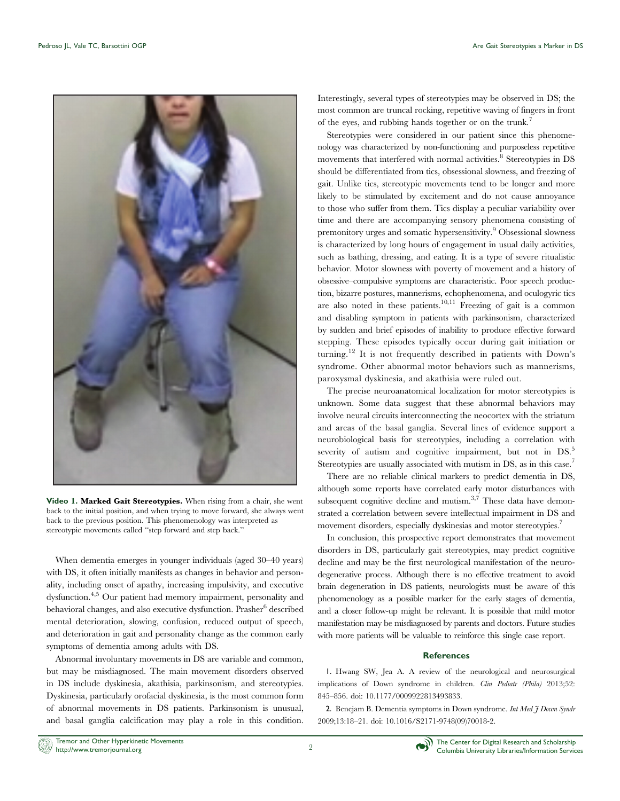

Video 1. Marked Gait Stereotypies. When rising from a chair, she went back to the initial position, and when trying to move forward, she always went back to the previous position. This phenomenology was interpreted as stereotypic movements called ''step forward and step back.''

When dementia emerges in younger individuals (aged 30–40 years) with DS, it often initially manifests as changes in behavior and personality, including onset of apathy, increasing impulsivity, and executive dysfunction.4,5 Our patient had memory impairment, personality and behavioral changes, and also executive dysfunction. Prasher<sup>6</sup> described mental deterioration, slowing, confusion, reduced output of speech, and deterioration in gait and personality change as the common early symptoms of dementia among adults with DS.

Abnormal involuntary movements in DS are variable and common, but may be misdiagnosed. The main movement disorders observed in DS include dyskinesia, akathisia, parkinsonism, and stereotypies. Dyskinesia, particularly orofacial dyskinesia, is the most common form of abnormal movements in DS patients. Parkinsonism is unusual, and basal ganglia calcification may play a role in this condition.

Interestingly, several types of stereotypies may be observed in DS; the most common are truncal rocking, repetitive waving of fingers in front of the eyes, and rubbing hands together or on the trunk.<sup>7</sup>

Stereotypies were considered in our patient since this phenomenology was characterized by non-functioning and purposeless repetitive movements that interfered with normal activities.<sup>8</sup> Stereotypies in DS should be differentiated from tics, obsessional slowness, and freezing of gait. Unlike tics, stereotypic movements tend to be longer and more likely to be stimulated by excitement and do not cause annoyance to those who suffer from them. Tics display a peculiar variability over time and there are accompanying sensory phenomena consisting of premonitory urges and somatic hypersensitivity.<sup>9</sup> Obsessional slowness is characterized by long hours of engagement in usual daily activities, such as bathing, dressing, and eating. It is a type of severe ritualistic behavior. Motor slowness with poverty of movement and a history of obsessive–compulsive symptoms are characteristic. Poor speech production, bizarre postures, mannerisms, echophenomena, and oculogyric tics are also noted in these patients.<sup>10,11</sup> Freezing of gait is a common and disabling symptom in patients with parkinsonism, characterized by sudden and brief episodes of inability to produce effective forward stepping. These episodes typically occur during gait initiation or turning.<sup>12</sup> It is not frequently described in patients with Down's syndrome. Other abnormal motor behaviors such as mannerisms, paroxysmal dyskinesia, and akathisia were ruled out.

The precise neuroanatomical localization for motor stereotypies is unknown. Some data suggest that these abnormal behaviors may involve neural circuits interconnecting the neocortex with the striatum and areas of the basal ganglia. Several lines of evidence support a neurobiological basis for stereotypies, including a correlation with severity of autism and cognitive impairment, but not in DS.<sup>5</sup> Stereotypies are usually associated with mutism in DS, as in this case.<sup>7</sup>

There are no reliable clinical markers to predict dementia in DS, although some reports have correlated early motor disturbances with subsequent cognitive decline and mutism.<sup>3,7</sup> These data have demonstrated a correlation between severe intellectual impairment in DS and movement disorders, especially dyskinesias and motor stereotypies.<sup>7</sup>

In conclusion, this prospective report demonstrates that movement disorders in DS, particularly gait stereotypies, may predict cognitive decline and may be the first neurological manifestation of the neurodegenerative process. Although there is no effective treatment to avoid brain degeneration in DS patients, neurologists must be aware of this phenomenology as a possible marker for the early stages of dementia, and a closer follow-up might be relevant. It is possible that mild motor manifestation may be misdiagnosed by parents and doctors. Future studies with more patients will be valuable to reinforce this single case report.

## **References**

1. Hwang SW, Jea A. A review of the neurological and neurosurgical implications of Down syndrome in children. Clin Pediatr (Phila) 2013;52: 845–856. doi: [10.1177/0009922813493833.](http://dx.doi.org/10.1177/0009922813493833)

2. Benejam B. Dementia symptoms in Down syndrome. Int Med  $\tilde{\jmath}$  Down Syndr 2009;13:18–21. doi: [10.1016/S2171-9748\(09\)70018-2.](http://dx.doi.org/10.1016/S2171-9748(09)70018-2)